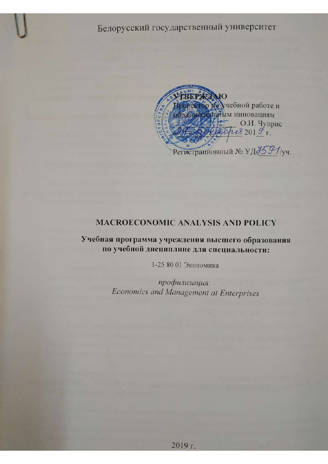

# **MACROECONOMIC ANALYSIS AND POLICY**

Учебная программа учреждения высшего образования по учебной дисциплине для специальности:

1-25 80 01 Экономика

профилизация: Economics and Management at Enterprises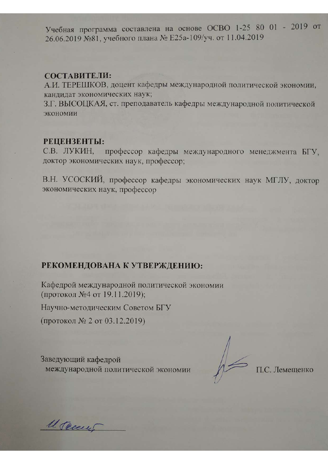Учебная программа составлена на основе ОСВО 1-25 80 01 - 2019 от 26.06.2019 №81, учебного плана № Е25а-109/уч. от 11.04.2019

#### СОСТАВИТЕЛИ:

А.И. ТЕРЕШКОВ, доцент кафедры международной политической экономии, кандидат экономических наук;

3.Г. ВЫСОЦКАЯ, ст. преподаватель кафедры международной политической экономии

#### РЕЦЕНЗЕНТЫ:

профессор кафедры международного менеджмента БГУ, С.В. ЛУКИН. доктор экономических наук, профессор;

В.Н. УСОСКИЙ, профессор кафедры экономических наук МГЛУ, доктор экономических наук, профессор

# РЕКОМЕНДОВАНА К УТВЕРЖДЕНИЮ:

Кафедрой международной политической экономии (протокол №4 от 19.11.2019);

Научно-методическим Советом БГУ

(протокол № 2 от 03.12.2019)

Заведующий кафедрой международной политической экономии

П.С. Лемещенко

U. Teeery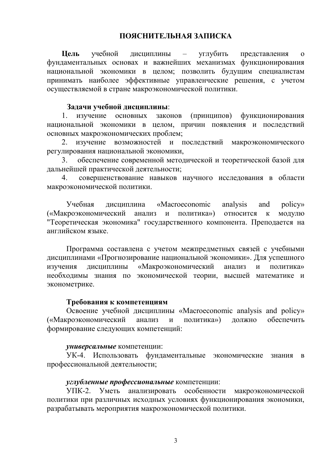**Цель** учебной дисциплины – углубить представления о фундаментальных основах и важнейших механизмах функционирования национальной экономики в целом; позволить будущим специалистам принимать наиболее эффективные управленческие решения, с учетом осуществляемой в стране макроэкономической политики.

#### **Задачи учебной дисциплины**:

1. изучение основных законов (принципов) функционирования национальной экономики в целом, причин появления и последствий основных макроэкономических проблем;

2. изучение возможностей и последствий макроэкономического регулирования национальной экономики,

3. обеспечение современной методической и теоретической базой для дальнейшей практической деятельности;

4. совершенствование навыков научного исследования в области макроэкономической политики.

Учебная дисциплина «Macroeconomic analysis and policy» («Макроэкономический анализ и политика») относится к модулю "Теоретическая экономика" государственного компонента. Преподается на английском языке.

Программа составлена с учетом межпредметных связей с учебными дисциплинами «Прогнозирование национальной экономики». Для успешного изучения дисциплины «Макроэкономический анализ и политика» необходимы знания по экономической теории, высшей математике и эконометрике.

#### **Требования к компетенциям**

Освоение учебной дисциплины «Macroeconomic analysis and policy» («Макроэкономический анализ и политика») должно обеспечить формирование следующих компетенций:

## *универсальные* компетенции:

УК-4. Использовать фундаментальные экономические знания в профессиональной деятельности;

## *углубленные профессиональные* компетенции:

УПК-2. Уметь анализировать особенности макроэкономической политики при различных исходных условиях функционирования экономики, разрабатывать мероприятия макроэкономической политики.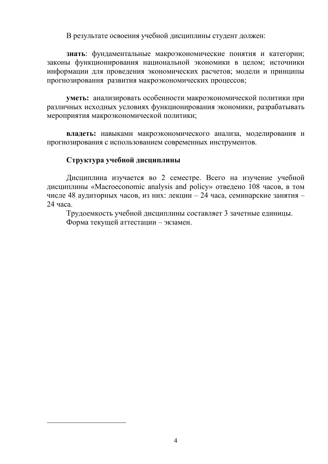В результате освоения учебной дисциплины студент должен:

**знать**: фундаментальные макроэкономические понятия и категории; законы функционирования национальной экономики в целом; источники информации для проведения экономических расчетов; модели и принципы прогнозирования развития макроэкономических процессов;

**уметь:** анализировать особенности макроэкономической политики при различных исходных условиях функционирования экономики, разрабатывать мероприятия макроэкономической политики;

**владеть:** навыками макроэкономического анализа, моделирования и прогнозирования с использованием современных инструментов.

## **Структура учебной дисциплины**

-

Дисциплина изучается во 2 семестре. Всего на изучение учебной дисциплины «Macroeconomic analysis and policy» отведено 108 часов, в том числе 48 аудиторных часов, из них: лекции – 24 часа, семинарские занятия – 24 часа.

Трудоемкость учебной дисциплины составляет 3 зачетные единицы. Форма текущей аттестации – экзамен.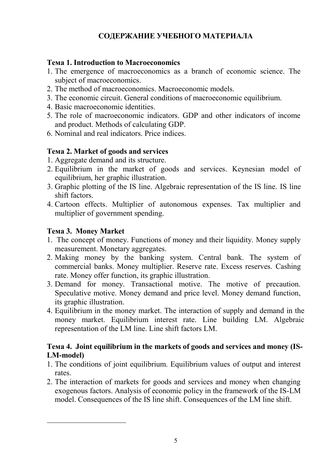# **СОДЕРЖАНИЕ УЧЕБНОГО МАТЕРИАЛА**

# **Тема 1. Introduction to Macroeconomics**

- 1. The emergence of macroeconomics as a branch of economic science. The subject of macroeconomics.
- 2. The method of macroeconomics. Macroeconomic models.
- 3. The economic circuit. General conditions of macroeconomic equilibrium.
- 4. Basic macroeconomic identities.
- 5. The role of macroeconomic indicators. GDP and other indicators of income and product. Methods of calculating GDP.
- 6. Nominal and real indicators. Price indices.

# **Тема 2. Market of goods and services**

- 1. Aggregate demand and its structure.
- 2. Equilibrium in the market of goods and services. Keynesian model of equilibrium, her graphic illustration.
- 3. Graphic plotting of the IS line. Algebraic representation of the IS line. IS line shift factors.
- 4. Cartoon effects. Multiplier of autonomous expenses. Tax multiplier and multiplier of government spending.

# **Тема 3. Money Market**

-

- 1. The concept of money. Functions of money and their liquidity. Money supply measurement. Monetary aggregates.
- 2. Making money by the banking system. Central bank. The system of commercial banks. Money multiplier. Reserve rate. Excess reserves. Cashing rate. Money offer function, its graphic illustration.
- 3. Demand for money. Transactional motive. The motive of precaution. Speculative motive. Money demand and price level. Money demand function, its graphic illustration.
- 4. Equilibrium in the money market. The interaction of supply and demand in the money market. Equilibrium interest rate. Line building LM. Algebraic representation of the LM line. Line shift factors LM.

# **Тема 4. Joint equilibrium in the markets of goods and services and money (IS-LM-model)**

- 1. The conditions of joint equilibrium. Equilibrium values of output and interest rates.
- 2. The interaction of markets for goods and services and money when changing exogenous factors. Analysis of economic policy in the framework of the IS-LM model. Consequences of the IS line shift. Consequences of the LM line shift.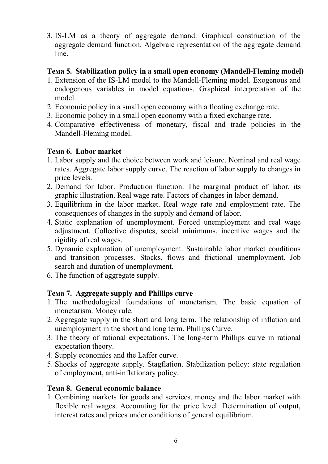3. IS-LM as a theory of aggregate demand. Graphical construction of the aggregate demand function. Algebraic representation of the aggregate demand line.

# **Тема 5. Stabilization policy in a small open economy (Mandell-Fleming model)**

- 1. Extension of the IS-LM model to the Mandell-Fleming model. Exogenous and endogenous variables in model equations. Graphical interpretation of the model.
- 2. Economic policy in a small open economy with a floating exchange rate.
- 3. Economic policy in a small open economy with a fixed exchange rate.
- 4. Comparative effectiveness of monetary, fiscal and trade policies in the Mandell-Fleming model.

# **Тема 6. Labor market**

- 1. Labor supply and the choice between work and leisure. Nominal and real wage rates. Aggregate labor supply curve. The reaction of labor supply to changes in price levels.
- 2. Demand for labor. Production function. The marginal product of labor, its graphic illustration. Real wage rate. Factors of changes in labor demand.
- 3. Equilibrium in the labor market. Real wage rate and employment rate. The consequences of changes in the supply and demand of labor.
- 4. Static explanation of unemployment. Forced unemployment and real wage adjustment. Collective disputes, social minimums, incentive wages and the rigidity of real wages.
- 5. Dynamic explanation of unemployment. Sustainable labor market conditions and transition processes. Stocks, flows and frictional unemployment. Job search and duration of unemployment.
- 6. The function of aggregate supply.

# **Тема 7. Aggregate supply and Phillips curve**

- 1. The methodological foundations of monetarism. The basic equation of monetarism. Money rule.
- 2. Aggregate supply in the short and long term. The relationship of inflation and unemployment in the short and long term. Phillips Curve.
- 3. The theory of rational expectations. The long-term Phillips curve in rational expectation theory.
- 4. Supply economics and the Laffer curve.
- 5. Shocks of aggregate supply. Stagflation. Stabilization policy: state regulation of employment, anti-inflationary policy.

# **Тема 8. General economic balance**

1. Combining markets for goods and services, money and the labor market with flexible real wages. Accounting for the price level. Determination of output, interest rates and prices under conditions of general equilibrium.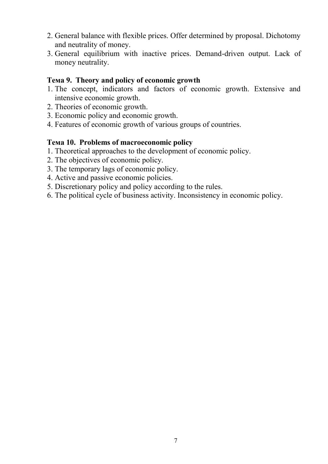- 2. General balance with flexible prices. Offer determined by proposal. Dichotomy and neutrality of money.
- 3. General equilibrium with inactive prices. Demand-driven output. Lack of money neutrality.

## **Тема 9. Theory and policy of economic growth**

- 1. The concept, indicators and factors of economic growth. Extensive and intensive economic growth.
- 2. Theories of economic growth.
- 3. Economic policy and economic growth.
- 4. Features of economic growth of various groups of countries.

## **Тема 10. Problems of macroeconomic policy**

- 1. Theoretical approaches to the development of economic policy.
- 2. The objectives of economic policy.
- 3. The temporary lags of economic policy.
- 4. Active and passive economic policies.
- 5. Discretionary policy and policy according to the rules.
- 6. The political cycle of business activity. Inconsistency in economic policy.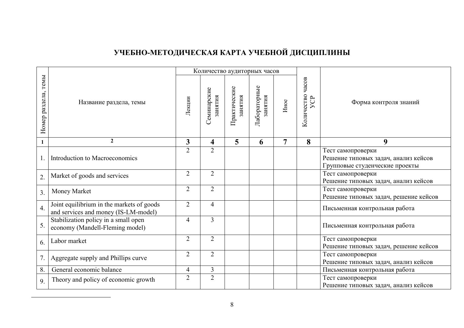# **УЧЕБНО-МЕТОДИЧЕСКАЯ КАРТА УЧЕБНОЙ ДИСЦИПЛИНЫ**

|                        |                                                                                   | Количество аудиторных часов |                         |                         |                         |      |                                    |                                                                                             |  |
|------------------------|-----------------------------------------------------------------------------------|-----------------------------|-------------------------|-------------------------|-------------------------|------|------------------------------------|---------------------------------------------------------------------------------------------|--|
| темы<br>Номер раздела, | Название раздела, темы                                                            | Лекции                      | Семинарские<br>занятия  | Практические<br>занятия | Лабораторные<br>занятия | Иное | Количество часов<br>$\overline{C}$ | Форма контроля знаний                                                                       |  |
| 1                      | $\overline{2}$                                                                    | 3                           | $\overline{\mathbf{4}}$ | 5                       | 6                       | 7    | 8                                  | 9                                                                                           |  |
|                        | Introduction to Macroeconomics                                                    | $\overline{2}$              | $\overline{2}$          |                         |                         |      |                                    | Тест самопроверки<br>Решение типовых задач, анализ кейсов<br>Групповые студенческие проекты |  |
| 2.                     | Market of goods and services                                                      | $\overline{2}$              | $\overline{2}$          |                         |                         |      |                                    | Тест самопроверки<br>Решение типовых задач, анализ кейсов                                   |  |
| 3.                     | Money Market                                                                      | $\overline{2}$              | $\overline{2}$          |                         |                         |      |                                    | Тест самопроверки<br>Решение типовых задач, решение кейсов                                  |  |
| $\overline{4}$ .       | Joint equilibrium in the markets of goods<br>and services and money (IS-LM-model) | $\overline{2}$              | 4                       |                         |                         |      |                                    | Письменная контрольная работа                                                               |  |
| 5.                     | Stabilization policy in a small open<br>economy (Mandell-Fleming model)           | $\overline{4}$              | $\overline{3}$          |                         |                         |      |                                    | Письменная контрольная работа                                                               |  |
| 6.                     | Labor market                                                                      | $\overline{2}$              | $\overline{2}$          |                         |                         |      |                                    | Тест самопроверки<br>Решение типовых задач, решение кейсов                                  |  |
| 7.                     | Aggregate supply and Phillips curve                                               | $\overline{2}$              | $\overline{2}$          |                         |                         |      |                                    | Тест самопроверки<br>Решение типовых задач, анализ кейсов                                   |  |
| 8.                     | General economic balance                                                          | $\overline{\mathcal{A}}$    | 3                       |                         |                         |      |                                    | Письменная контрольная работа                                                               |  |
| 9.                     | Theory and policy of economic growth                                              | $\overline{2}$              | $\overline{2}$          |                         |                         |      |                                    | Тест самопроверки<br>Решение типовых задач, анализ кейсов                                   |  |

 $\overline{a}$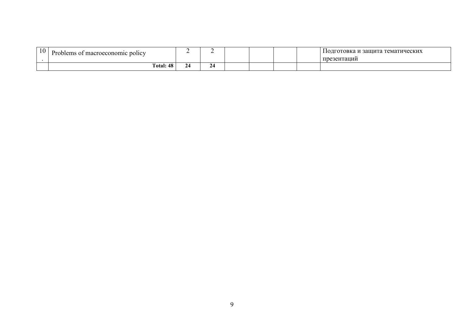| 10 | Problems of macroeconomic policy |   |  |  | 1 и защита тематических<br>110дготовка и :<br>презентаций |
|----|----------------------------------|---|--|--|-----------------------------------------------------------|
|    | Total: 48                        | ∼ |  |  |                                                           |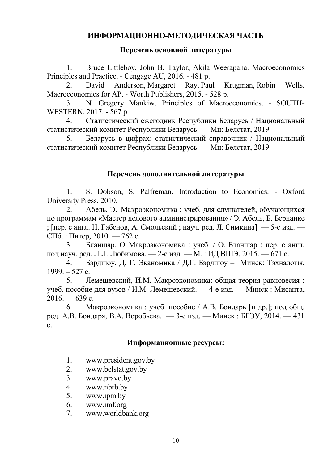# **ИНФОРМАЦИОННО-МЕТОДИЧЕСКАЯ ЧАСТЬ**

### **Перечень основной литературы**

1. Bruce Littleboy, John B. Taylor, Akila Weerapana. Macroeconomics Principles and Practice. - Cengage AU, 2016. - 481 p.

2. [David Anderson,](https://www.google.by/search?hl=ru&tbo=p&tbm=bks&q=inauthor:%22David+Anderson%22&source=gbs_metadata_r&cad=5) [Margaret Ray,](https://www.google.by/search?hl=ru&tbo=p&tbm=bks&q=inauthor:%22Margaret+Ray%22&source=gbs_metadata_r&cad=5) [Paul Krugman,](https://www.google.by/search?hl=ru&tbo=p&tbm=bks&q=inauthor:%22Paul+Krugman%22&source=gbs_metadata_r&cad=5) [Robin Wells.](https://www.google.by/search?hl=ru&tbo=p&tbm=bks&q=inauthor:%22Robin+Wells%22&source=gbs_metadata_r&cad=5) Macroeconomics for AP. - Worth Publishers, 2015. - 528 p.

3. [N. Gregory Mankiw.](https://www.google.by/search?hl=ru&tbo=p&tbm=bks&q=inauthor:%22N.+Gregory+Mankiw%22) Principles of Macroeconomics. - SOUTH-WESTERN, 2017. - 567 p.

4. Статистический ежегодник Республики Беларусь / Национальный статистический комитет Республики Беларусь. — Мн: Белстат, 2019.

5. Беларусь в цифрах: статистический справочник / Национальный статистический комитет Республики Беларусь. — Мн: Белстат, 2019.

## **Перечень дополнительной литературы**

1. S. Dobson, S. Palfreman. Introduction to Economics. - Oxford University Press, 2010.

2. Абель, Э. Макроэкономика : учеб. для слушателей, обучающихся по программам «Мастер делового администрирования» / Э. Абель, Б. Бернанке ; [пер. с англ. Н. Габенов, А. Смольский ; науч. ред. Л. Симкина]. — 5-е изд. — СПб. : Питер, 2010. — 762 с.

3. Бланшар, О. Макроэкономика : учеб. / О. Бланшар ; пер. с англ. под науч. ред. Л.Л. Любимова. — 2-е изд. — М. : ИД ВШЭ, 2015. — 671 с.

4. Бэрдшоу, Д. Г. Эканомика / Д.Г. Бэрдшоу – Минск: Тэхналогiя,  $1999. - 527$  c.

5. Лемешевский, И.М. Макроэкономика: общая теория равновесия : учеб. пособие для вузов / И.М. Лемешевский. — 4-е изд. — Минск : Мисанта,  $2016. - 639$  c.

6. Макроэкономика : учеб. пособие / А.В. Бондарь [и др.]; под общ. ред. А.В. Бондаря, В.А. Воробьева. — 3-е изд. — Минск : БГЭУ, 2014. — 431 с.

## **Информационные ресурсы:**

- 1. www.president.gov.by
- 2. www.belstat.gov.by
- 3. www.pravo.by
- 4. [www.nbrb.by](http://www.nbrb.by/)
- 5. [www.ipm.by](http://www.ipm.by/)
- 6. [www.imf.org](http://www.imf.org/)
- 7. [www.worldbank.org](http://www.worldbank.org/)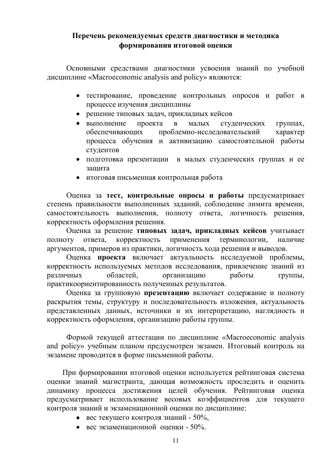## **Перечень рекомендуемых средств диагностики и методика формирования итоговой оценки**

Основными средствами диагностики усвоения знаний по учебной дисциплине «Macroeconomic analysis and policy» являются:

- тестирование, проведение контрольных опросов и работ в процессе изучения дисциплины
- решение типовых задач, прикладных кейсов
- выполнение проекта в малых студенческих группах, обеспечивающих проблемно-исследовательский характер процесса обучения и активизацию самостоятельной работы студентов
- подготовка презентации в малых студенческих группах и ее защита
- итоговая письменная контрольная работа

Оценка за **тест, контрольные опросы и работы** предусматривает степень правильности выполненных заданий, соблюдение лимита времени, самостоятельность выполнения, полноту ответа, логичность решения, корректность оформления решения.

Оценка за решение **типовых задач, прикладных кейсов** учитывает полноту ответа, корректность применения терминологии, наличие аргументов, примеров из практики, логичность хода решения и выводов.

Оценка **проекта** включает актуальность исследуемой проблемы, корректность используемых методов исследования, привлечение знаний из различных областей, организацию работы группы, практикоориентированность полученных результатов.

Оценка за групповую **презентацию** включает содержание и полноту раскрытия темы, структуру и последовательность изложения, актуальность представленных данных, источники и их интерпретацию, наглядность и корректность оформления, организацию работы группы.

Формой текущей аттестации по дисциплине «Macroeconomic analysis and policy» учебным планом предусмотрен экзамен. Итоговый контроль на экзамене проводится в форме письменной работы.

При формировании итоговой оценки используется рейтинговая система оценки знаний магистранта, дающая возможность проследить и оценить динамику процесса достижения целей обучения. Рейтинговая оценка предусматривает использование весовых коэффициентов для текущего контроля знаний и экзаменационной оценки по дисциплине:

- вес текущего контроля знаний  $50\%$ ,
- вес экзаменационной оценки 50%.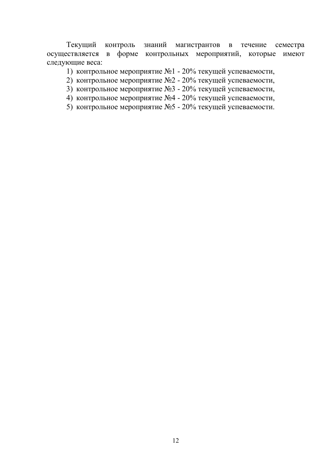Текущий контроль знаний магистрантов в течение семестра осуществляется в форме контрольных мероприятий, которые имеют следующие веса:

- 1) контрольное мероприятие №1 20% текущей успеваемости,
- 2) контрольное мероприятие №2 20% текущей успеваемости,
- 3) контрольное мероприятие №3 20% текущей успеваемости,
- 4) контрольное мероприятие №4 20% текущей успеваемости,
- 5) контрольное мероприятие №5 20% текущей успеваемости.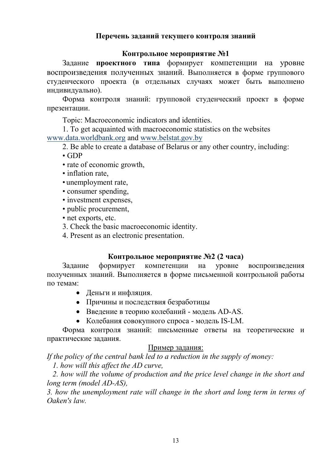## **Перечень заданий текущего контроля знаний**

### **Контрольное мероприятие №1**

Задание **проектного типа** формирует компетенции на уровне воспроизведения полученных знаний. Выполняется в форме группового студенческого проекта (в отдельных случаях может быть выполнено индивидуально).

Форма контроля знаний: групповой студенческий проект в форме презентации.

Topic: Macroeconomic indicators and identities.

1. To get acquainted with macroeconomic statistics on the websites [www.data.worldbank.org](https://data.worldbank.org/) and [www.belstat.gov.by](http://www.belstat.gov.by/ofitsialnaya-statistika/)

2. Be able to create a database of Belarus or any other country, including:

• GDP

- rate of economic growth,
- inflation rate,
- unemployment rate,
- consumer spending,
- investment expenses,
- public procurement,
- net exports, etc.
- 3. Check the basic macroeconomic identity.
- 4. Present as an electronic presentation.

## **Контрольное мероприятие №2 (2 часа)**

Задание формирует компетенции на уровне воспроизведения полученных знаний. Выполняется в форме письменной контрольной работы по темам:

- Деньги и инфляция.
- Причины и последствия безработицы
- Введение в теорию колебаний модель AD-AS.
- Колебания совокупного спроса модель IS-LM.

Форма контроля знаний: письменные ответы на теоретические и практические задания.

## Пример задания:

*If the policy of the central bank led to a reduction in the supply of money:*

*1. how will this affect the AD curve,*

 *2. how will the volume of production and the price level change in the short and long term (model AD-AS),*

*3. how the unemployment rate will change in the short and long term in terms of Oaken's law.*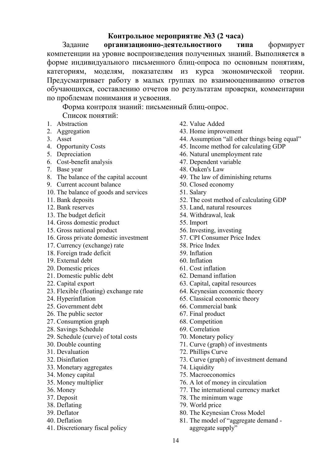## **Контрольное мероприятие №3 (2 часа)**

Задание **организационно-деятельностного типа** формирует компетенции на уровне воспроизведения полученных знаний. Выполняется в форме индивидуального письменного блиц-опроса по основным понятиям, категориям, моделям, показателям из курса экономической теории. Предусматривает работу в малых группах по взаимооцениванию ответов обучающихся, составлению отчетов по результатам проверки, комментарии по проблемам понимания и усвоения.

Форма контроля знаний: письменный блиц-опрос. Список понятий:

- 1. Abstraction
- 2. Aggregation
- 3. Asset
- 4. Opportunity Costs
- 5. Depreciation
- 6. Cost-benefit analysis
- 7. Base year
- 8. The balance of the capital account
- 9. Current account balance
- 10. The balance of goods and services
- 11. Bank deposits
- 12. Bank reserves
- 13. The budget deficit
- 14. Gross domestic product
- 15. Gross national product
- 16. Gross private domestic investment
- 17. Currency (exchange) rate
- 18. Foreign trade deficit
- 19. External debt
- 20. Domestic prices
- 21. Domestic public debt
- 22. Capital export
- 23. Flexible (floating) exchange rate
- 24. Hyperinflation
- 25. Government debt
- 26. The public sector
- 27. Consumption graph
- 28. Savings Schedule
- 29. Schedule (curve) of total costs
- 30. Double counting
- 31. Devaluation
- 32. Disinflation
- 33. Monetary aggregates
- 34. Money capital
- 35. Money multiplier
- 36. Money
- 37. Deposit
- 38. Deflating
- 39. Deflator
- 40. Deflation
- 41. Discretionary fiscal policy
- 42. Value Added
- 43. Home improvement
- 44. Assumption "all other things being equal"
- 45. Income method for calculating GDP
- 46. Natural unemployment rate
- 47. Dependent variable
- 48. Ouken's Law
- 49. The law of diminishing returns
- 50. Closed economy
- 51. Salary
- 52. The cost method of calculating GDP
- 53. Land, natural resources
- 54. Withdrawal, leak
- 55. Import
- 56. Investing, investing
- 57. CPI Consumer Price Index
- 58. Price Index
- 59. Inflation
- 60. Inflation
- 61. Cost inflation
- 62. Demand inflation
- 63. Capital, capital resources
- 64. Keynesian economic theory
- 65. Classical economic theory
- 66. Commercial bank
- 67. Final product
- 68. Competition
- 69. Correlation
- 70. Monetary policy
- 71. Curve (graph) of investments
- 72. Phillips Curve
- 73. Curve (graph) of investment demand
- 74. Liquidity
- 75. Macroeconomics
- 76. A lot of money in circulation
- 77. The international currency market
- 78. The minimum wage
- 79. World price
- 80. The Keynesian Cross Model
- 81. The model of "aggregate demand aggregate supply"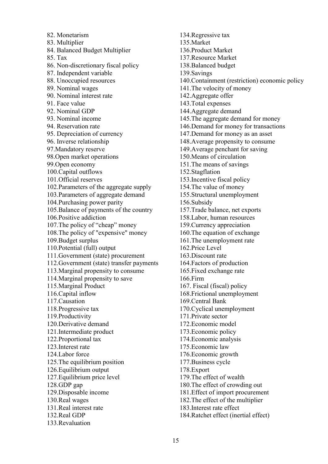82. Monetarism 83. Multiplier 84. Balanced Budget Multiplier 85. Tax 86. Non-discretionary fiscal policy 87. Independent variable 88. Unoccupied resources 89. Nominal wages 90. Nominal interest rate 91. Face value 92. Nominal GDP 93. Nominal income 94. Reservation rate 95. Depreciation of currency 96. Inverse relationship 97.Mandatory reserve 98.Open market operations 99.Open economy 100.Capital outflows 101.Official reserves 102.Parameters of the aggregate supply 103.Parameters of aggregate demand 104.Purchasing power parity 105.Balance of payments of the country 106.Positive addiction 107.The policy of "cheap" money 108.The policy of "expensive" money 109.Budget surplus 110.Potential (full) output 111.Government (state) procurement 112.Government (state) transfer payments 113.Marginal propensity to consume 114.Marginal propensity to save 115.Marginal Product 116.Capital inflow 117.Causation 118.Progressive tax 119.Productivity 120.Derivative demand 121.Intermediate product 122.Proportional tax 123.Interest rate 124.Labor force 125.The equilibrium position 126.Equilibrium output 127.Equilibrium price level 128.GDP gap 129.Disposable income 130.Real wages 131.Real interest rate 132.Real GDP 133.Revaluation

134.Regressive tax 135.Market 136.Product Market 137.Resource Market 138.Balanced budget 139.Savings 140.Containment (restriction) economic policy 141.The velocity of money 142.Aggregate offer 143.Total expenses 144.Aggregate demand 145.The aggregate demand for money 146.Demand for money for transactions 147.Demand for money as an asset 148.Average propensity to consume 149.Average penchant for saving 150.Means of circulation 151.The means of savings 152.Stagflation 153.Incentive fiscal policy 154.The value of money 155.Structural unemployment 156.Subsidy 157.Trade balance, net exports 158.Labor, human resources 159.Currency appreciation 160.The equation of exchange 161.The unemployment rate 162.Price Level 163.Discount rate 164.Factors of production 165.Fixed exchange rate 166.Firm 167. Fiscal (fiscal) policy 168.Frictional unemployment 169.Central Bank 170.Cyclical unemployment 171.Private sector 172.Economic model 173.Economic policy 174.Economic analysis 175.Economic law 176.Economic growth 177.Business cycle 178.Export 179.The effect of wealth 180.The effect of crowding out 181.Effect of import procurement 182.The effect of the multiplier 183.Interest rate effect 184.Ratchet effect (inertial effect)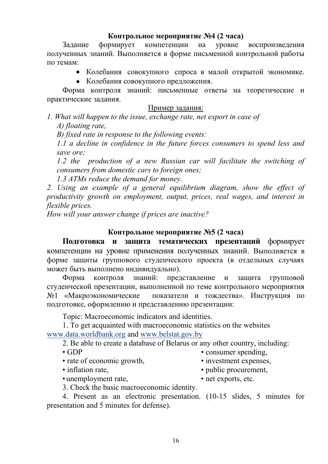### **Контрольное мероприятие №4 (2 часа)**

Задание формирует компетенции на уровне воспроизведения полученных знаний. Выполняется в форме письменной контрольной работы по темам:

- Колебания совокупного спроса в малой открытой экономике.
- Колебания совокупного предложения.

Форма контроля знаний: письменные ответы на теоретические и практические задания.

#### Пример задания:

*1. What will happen to the issue, exchange rate, net export in case of А) floating rate,*

*B) fixed rate in response to the following events:*

*1.1 a decline in confidence in the future forces consumers to spend less and save ore;*

*1.2 the production of a new Russian car will facilitate the switching of consumers from domestic cars to foreign ones;*

*1.3 ATMs reduce the demand for money.*

*2. Using an example of a general equilibrium diagram, show the effect of productivity growth on employment, output, prices, real wages, and interest in flexible prices.* 

*How will your answer change if prices are inactive?*

### **Контрольное мероприятие №5 (2 часа)**

**Подготовка и защита тематических презентаций** формирует компетенции на уровне применения полученных знаний. Выполняется в форме защиты группового студенческого проекта (в отдельных случаях может быть выполнено индивидуально).

Форма контроля знаний: представление и защита групповой студенческой презентации, выполненной по теме контрольного мероприятия №1 «Макроэкономические показатели и тождества». Инструкция по подготовке, оформлению и представлению презентации:

Topic: Macroeconomic indicators and identities.

1. To get acquainted with macroeconomic statistics on the websites [www.data.worldbank.org](https://data.worldbank.org/) and [www.belstat.gov.by](http://www.belstat.gov.by/ofitsialnaya-statistika/)

2. Be able to create a database of Belarus or any other country, including:

• GDP

• consumer spending,

- rate of economic growth,
- inflation rate,
- unemployment rate,
- investment expenses,
- public procurement,
- net exports, etc.
- 3. Check the basic macroeconomic identity.

4. Present as an electronic presentation. (10-15 slides, 5 minutes for presentation and 5 minutes for defense).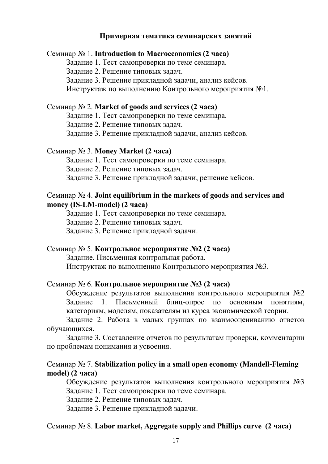#### **Примерная тематика семинарских занятий**

#### Семинар № 1. **Introduction to Macroeconomics (2 часа)**

Задание 1. Тест самопроверки по теме семинара.

Задание 2. Решение типовых задач.

Задание 3. Решение прикладной задачи, анализ кейсов.

Инструктаж по выполнению Контрольного мероприятия №1.

#### Семинар № 2. **Market of goods and services (2 часа)**

Задание 1. Тест самопроверки по теме семинара.

Задание 2. Решение типовых задач.

Задание 3. Решение прикладной задачи, анализ кейсов.

#### Семинар № 3. **Money Market (2 часа)**

Задание 1. Тест самопроверки по теме семинара.

Задание 2. Решение типовых задач.

Задание 3. Решение прикладной задачи, решение кейсов.

#### Семинар № 4. **Joint equilibrium in the markets of goods and services and money (IS-LM-model) (2 часа)**

Задание 1. Тест самопроверки по теме семинара.

Задание 2. Решение типовых задач.

Задание 3. Решение прикладной задачи.

#### Семинар № 5. **Контрольное мероприятие №2 (2 часа)**

Задание. Письменная контрольная работа.

Инструктаж по выполнению Контрольного мероприятия №3.

#### Семинар № 6. **Контрольное мероприятие №3 (2 часа)**

Обсуждение результатов выполнения контрольного мероприятия №2 Задание 1. Письменный блиц-опрос по основным понятиям, категориям, моделям, показателям из курса экономической теории.

Задание 2. Работа в малых группах по взаимооцениванию ответов обучающихся.

Задание 3. Составление отчетов по результатам проверки, комментарии по проблемам понимания и усвоения.

#### Семинар № 7. **Stabilization policy in a small open economy (Mandell-Fleming model) (2 часа)**

Обсуждение результатов выполнения контрольного мероприятия №3 Задание 1. Тест самопроверки по теме семинара.

Задание 2. Решение типовых задач.

Задание 3. Решение прикладной задачи.

#### Семинар № 8. **Labor market, Aggregate supply and Phillips curve (2 часа)**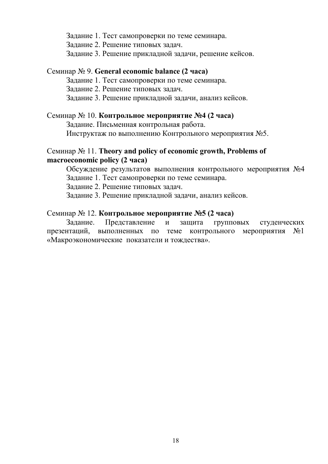Задание 1. Тест самопроверки по теме семинара.

Задание 2. Решение типовых задач.

Задание 3. Решение прикладной задачи, решение кейсов.

#### Семинар № 9. **General economic balance (2 часа)**

Задание 1. Тест самопроверки по теме семинара.

Задание 2. Решение типовых задач.

Задание 3. Решение прикладной задачи, анализ кейсов.

#### Семинар № 10. **Контрольное мероприятие №4 (2 часа)**

Задание. Письменная контрольная работа.

Инструктаж по выполнению Контрольного мероприятия №5.

### Семинар № 11. **Theory and policy of economic growth, Problems of macroeconomic policy (2 часа)**

Обсуждение результатов выполнения контрольного мероприятия №4 Задание 1. Тест самопроверки по теме семинара.

Задание 2. Решение типовых задач.

Задание 3. Решение прикладной задачи, анализ кейсов.

## Семинар № 12. **Контрольное мероприятие №5 (2 часа)**

Задание. Представление и защита групповых студенческих презентаций, выполненных по теме контрольного мероприятия №1 «Макроэкономические показатели и тождества».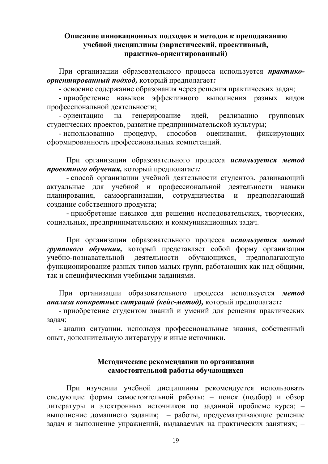#### **Описание инновационных подходов и методов к преподаванию учебной дисциплины (эвристический, проективный, практико-ориентированный)**

При организации образовательного процесса используется *практикоориентированный подход,* который предполагает*:*

- освоение содержание образования через решения практических задач;

- приобретение навыков эффективного выполнения разных видов профессиональной деятельности;

- ориентацию на генерирование идей, реализацию групповых студенческих проектов, развитие предпринимательской культуры;

- использованию процедур, способов оценивания, фиксирующих сформированность профессиональных компетенций.

При организации образовательного процесса *используется метод проектного обучения,* который предполагает*:*

- способ организации учебной деятельности студентов, развивающий актуальные для учебной и профессиональной деятельности навыки планирования, самоорганизации, сотрудничества и предполагающий создание собственного продукта;

- приобретение навыков для решения исследовательских, творческих, социальных, предпринимательских и коммуникационных задач.

При организации образовательного процесса *используется метод группового обучения,* который представляет собой форму организации учебно-познавательной деятельности обучающихся, предполагающую функционирование разных типов малых групп, работающих как над общими, так и специфическими учебными заданиями.

При организации образовательного процесса используется *метод анализа конкретных ситуаций (кейс-метод),* который предполагает*:*

- приобретение студентом знаний и умений для решения практических задач;

- анализ ситуации, используя профессиональные знания, собственный опыт, дополнительную литературу и иные источники.

#### **Методические рекомендации по организации самостоятельной работы обучающихся**

При изучении учебной дисциплины рекомендуется использовать следующие формы самостоятельной работы: – поиск (подбор) и обзор литературы и электронных источников по заданной проблеме курса; – выполнение домашнего задания; – работы, предусматривающие решение задач и выполнение упражнений, выдаваемых на практических занятиях; –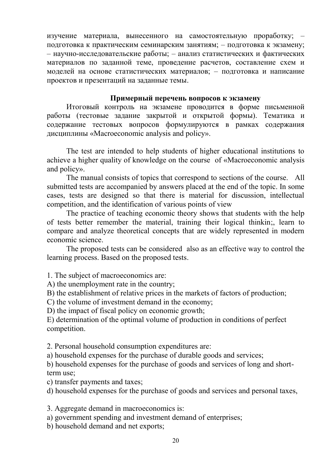изучение материала, вынесенного на самостоятельную проработку; – подготовка к практическим семинарским занятиям; – подготовка к экзамену; – научно-исследовательские работы; – анализ статистических и фактических материалов по заданной теме, проведение расчетов, составление схем и моделей на основе статистических материалов; – подготовка и написание проектов и презентаций на заданные темы.

#### **Примерный перечень вопросов к экзамену**

Итоговый контроль на экзамене проводится в форме письменной работы (тестовые задание закрытой и открытой формы). Тематика и содержание тестовых вопросов формулируются в рамках содержания дисциплины «Macroeconomic analysis and policy».

Thе test are intended to help students of higher educational institutions to achieve a higher quality of knowledge on the course of «Macroeconomic analysis and policy».

The manual consists of topics that correspond to sections of the course. All submitted tests are accompanied by answers placed at the end of the topic. In some cases, tests are designed so that there is material for discussion, intellectual competition, and the identification of various points of view

The practice of teaching economic theory shows that students with the help of tests better remember the material, training their logical thinkin;, learn to compare and analyze theoretical concepts that are widely represented in modern economic science.

The proposed tests can be considered also as an effective way to control the learning process. Based on the proposed tests.

1. The subject of macroeconomics are:

A) the unemployment rate in the country;

B) the establishment of relative prices in the markets of factors of production;

C) the volume of investment demand in the economy;

D) the impact of fiscal policy on economic growth;

E) determination of the optimal volume of production in conditions of perfect competition.

2. Personal household consumption expenditures are:

a) household expenses for the purchase of durable goods and services;

b) household expenses for the purchase of goods and services of long and shortterm use;

c) transfer payments and taxes;

d) household expenses for the purchase of goods and services and personal taxes,

3. Aggregate demand in macroeconomics is:

a) government spending and investment demand of enterprises;

b) household demand and net exports;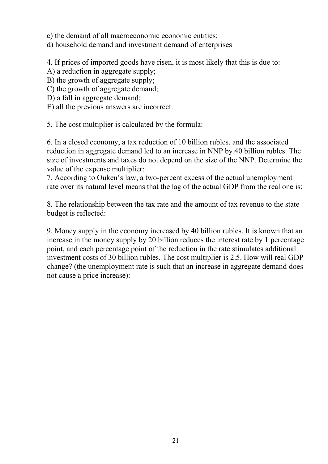c) the demand of all macroeconomic economic entities;

d) household demand and investment demand of enterprises

4. If prices of imported goods have risen, it is most likely that this is due to:

- A) a reduction in aggregate supply;
- B) the growth of aggregate supply;
- C) the growth of aggregate demand;
- D) a fall in aggregate demand;
- E) all the previous answers are incorrect.

5. The cost multiplier is calculated by the formula:

6. In a closed economy, a tax reduction of 10 billion rubles. and the associated reduction in aggregate demand led to an increase in NNP by 40 billion rubles. The size of investments and taxes do not depend on the size of the NNP. Determine the value of the expense multiplier:

7. According to Ouken's law, a two-percent excess of the actual unemployment rate over its natural level means that the lag of the actual GDP from the real one is:

8. The relationship between the tax rate and the amount of tax revenue to the state budget is reflected:

9. Money supply in the economy increased by 40 billion rubles. It is known that an increase in the money supply by 20 billion reduces the interest rate by 1 percentage point, and each percentage point of the reduction in the rate stimulates additional investment costs of 30 billion rubles. The cost multiplier is 2.5. How will real GDP change? (the unemployment rate is such that an increase in aggregate demand does not cause a price increase):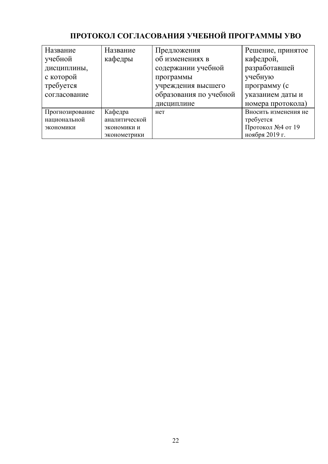# **ПРОТОКОЛ СОГЛАСОВАНИЯ УЧЕБНОЙ ПРОГРАММЫ УВО**

| Название        | Название      | Предложения            | Решение, принятое    |
|-----------------|---------------|------------------------|----------------------|
| учебной         | кафедры       | об изменениях в        | кафедрой,            |
| дисциплины,     |               | содержании учебной     | разработавшей        |
| с которой       |               | программы              | учебную              |
| требуется       |               | учреждения высшего     | программу (с         |
| согласование    |               | образования по учебной | указанием даты и     |
|                 |               | дисциплине             | номера протокола)    |
| Прогнозирование | Кафедра       | нет                    | Вносить изменения не |
| национальной    | аналитической |                        | требуется            |
| экономики       | экономики и   |                        | Протокол №4 от 19    |
|                 | эконометрики  |                        | ноября 2019 г.       |